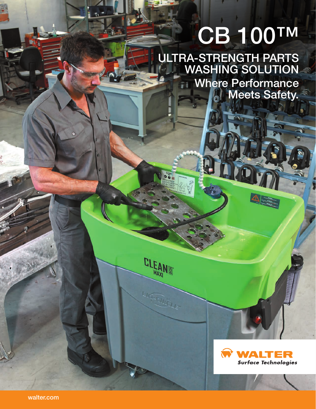# CB 100™

ULTRA-STRENGTH PARTS WASHING SOLUTION Where Performance Meets Safety.

**OBEN** 

**CLEANE** 

**LIGHTELLER**